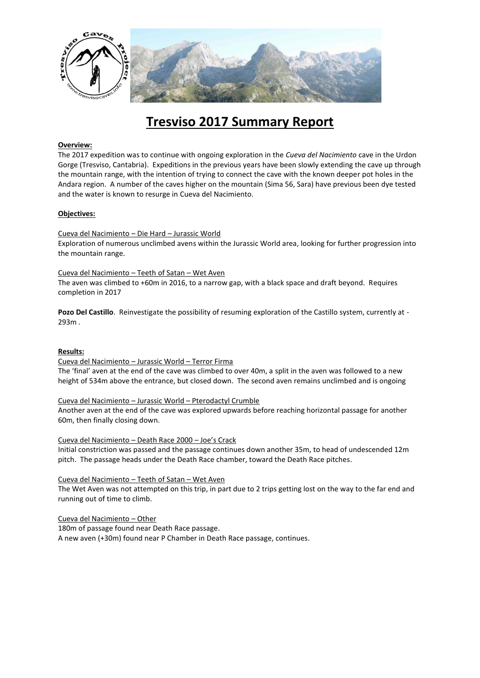

# **Tresviso 2017 Summary Report**

## **Overview:**

The 2017 expedition was to continue with ongoing exploration in the *Cueva del Nacimiento* cave in the Urdon Gorge (Tresviso, Cantabria). Expeditions in the previous years have been slowly extending the cave up through the mountain range, with the intention of trying to connect the cave with the known deeper pot holes in the Andara region. A number of the caves higher on the mountain (Sima 56, Sara) have previous been dye tested and the water is known to resurge in Cueva del Nacimiento.

## **Objectives:**

## Cueva del Nacimiento – Die Hard – Jurassic World

Exploration of numerous unclimbed avens within the Jurassic World area, looking for further progression into the mountain range.

## Cueva del Nacimiento – Teeth of Satan – Wet Aven

The aven was climbed to +60m in 2016, to a narrow gap, with a black space and draft beyond. Requires completion in 2017

**Pozo Del Castillo**. Reinvestigate the possibility of resuming exploration of the Castillo system, currently at - 293m .

#### **Results:**

#### Cueva del Nacimiento – Jurassic World – Terror Firma

The 'final' aven at the end of the cave was climbed to over 40m, a split in the aven was followed to a new height of 534m above the entrance, but closed down. The second aven remains unclimbed and is ongoing

#### Cueva del Nacimiento – Jurassic World – Pterodactyl Crumble

Another aven at the end of the cave was explored upwards before reaching horizontal passage for another 60m, then finally closing down.

#### Cueva del Nacimiento – Death Race 2000 – Joe's Crack

Initial constriction was passed and the passage continues down another 35m, to head of undescended 12m pitch. The passage heads under the Death Race chamber, toward the Death Race pitches.

#### Cueva del Nacimiento – Teeth of Satan – Wet Aven

The Wet Aven was not attempted on this trip, in part due to 2 trips getting lost on the way to the far end and running out of time to climb.

#### Cueva del Nacimiento – Other

180m of passage found near Death Race passage. A new aven (+30m) found near P Chamber in Death Race passage, continues.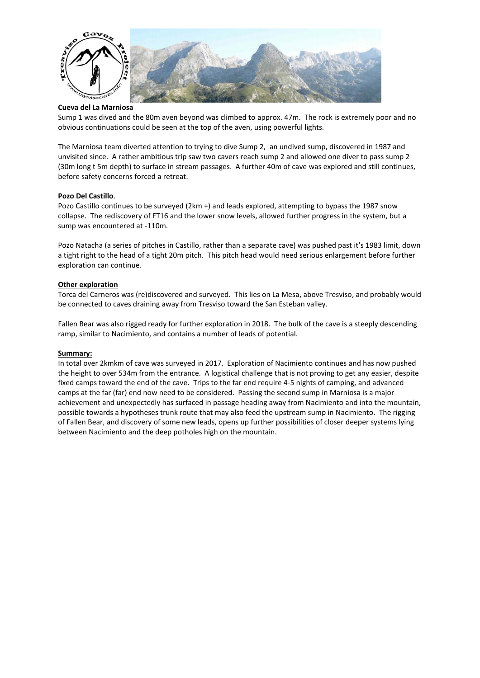

## **Cueva del La Marniosa**

Sump 1 was dived and the 80m aven beyond was climbed to approx. 47m. The rock is extremely poor and no obvious continuations could be seen at the top of the aven, using powerful lights.

The Marniosa team diverted attention to trying to dive Sump 2, an undived sump, discovered in 1987 and unvisited since. A rather ambitious trip saw two cavers reach sump 2 and allowed one diver to pass sump 2 (30m long t 5m depth) to surface in stream passages. A further 40m of cave was explored and still continues, before safety concerns forced a retreat.

## **Pozo Del Castillo**.

Pozo Castillo continues to be surveyed (2km +) and leads explored, attempting to bypass the 1987 snow collapse. The rediscovery of FT16 and the lower snow levels, allowed further progress in the system, but a sump was encountered at -110m.

Pozo Natacha (a series of pitches in Castillo, rather than a separate cave) was pushed past it's 1983 limit, down a tight right to the head of a tight 20m pitch. This pitch head would need serious enlargement before further exploration can continue.

## **Other exploration**

Torca del Carneros was (re)discovered and surveyed. This lies on La Mesa, above Tresviso, and probably would be connected to caves draining away from Tresviso toward the San Esteban valley.

Fallen Bear was also rigged ready for further exploration in 2018. The bulk of the cave is a steeply descending ramp, similar to Nacimiento, and contains a number of leads of potential.

#### **Summary:**

In total over 2kmkm of cave was surveyed in 2017. Exploration of Nacimiento continues and has now pushed the height to over 534m from the entrance. A logistical challenge that is not proving to get any easier, despite fixed camps toward the end of the cave. Trips to the far end require 4-5 nights of camping, and advanced camps at the far (far) end now need to be considered. Passing the second sump in Marniosa is a major achievement and unexpectedly has surfaced in passage heading away from Nacimiento and into the mountain, possible towards a hypotheses trunk route that may also feed the upstream sump in Nacimiento. The rigging of Fallen Bear, and discovery of some new leads, opens up further possibilities of closer deeper systems lying between Nacimiento and the deep potholes high on the mountain.